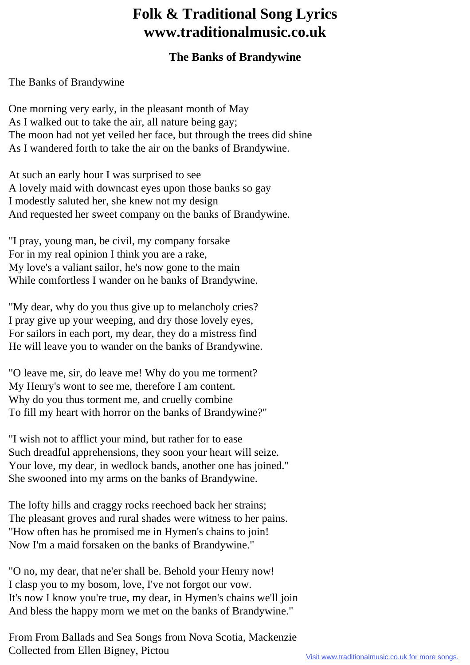## **Folk & Traditional Song Lyrics www.traditionalmusic.co.uk**

## **The Banks of Brandywine**

The Banks of Brandywine

One morning very early, in the pleasant month of May As I walked out to take the air, all nature being gay; The moon had not yet veiled her face, but through the trees did shine As I wandered forth to take the air on the banks of Brandywine.

At such an early hour I was surprised to see A lovely maid with downcast eyes upon those banks so gay I modestly saluted her, she knew not my design And requested her sweet company on the banks of Brandywine.

"I pray, young man, be civil, my company forsake For in my real opinion I think you are a rake, My love's a valiant sailor, he's now gone to the main While comfortless I wander on he banks of Brandywine.

"My dear, why do you thus give up to melancholy cries? I pray give up your weeping, and dry those lovely eyes, For sailors in each port, my dear, they do a mistress find He will leave you to wander on the banks of Brandywine.

"O leave me, sir, do leave me! Why do you me torment? My Henry's wont to see me, therefore I am content. Why do you thus torment me, and cruelly combine To fill my heart with horror on the banks of Brandywine?"

"I wish not to afflict your mind, but rather for to ease Such dreadful apprehensions, they soon your heart will seize. Your love, my dear, in wedlock bands, another one has joined." She swooned into my arms on the banks of Brandywine.

The lofty hills and craggy rocks reechoed back her strains; The pleasant groves and rural shades were witness to her pains. "How often has he promised me in Hymen's chains to join! Now I'm a maid forsaken on the banks of Brandywine."

"O no, my dear, that ne'er shall be. Behold your Henry now! I clasp you to my bosom, love, I've not forgot our vow. It's now I know you're true, my dear, in Hymen's chains we'll join And bless the happy morn we met on the banks of Brandywine."

From From Ballads and Sea Songs from Nova Scotia, Mackenzie Collected from Ellen Bigney, Pictou